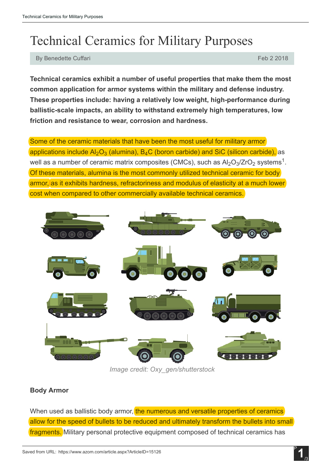# Technical Ceramics for Military Purposes

By Benedette Cuffari Feb 2 2018

Technical ceramics exhibit a number of useful properties that make them the most common application for armor systems within the military and defense industry. These properties include: having a relatively low weight, high-performance during ballistic-scale impacts, an ability to withstand extremely high temperatures, low friction and resistance to wear, corrosion and hardness.

Some of the ceramic materials that have been the most useful for military armor applications include Al $_2\rm O_3$  (alumina), B $_4\rm C$  (boron carbide) and SiC (silicon carbide), <code>as</code> well as a number of ceramic matrix composites (CMCs), such as Al $_2$ O $_3$ /ZrO $_2$  systems $^1$ . Of these materials, alumina is the most commonly utilized technical ceramic for body armor, as it exhibits hardness, refractoriness and modulus of elasticity at a much lower cost when compared to other commercially available technical ceramics.



*Image credit: Oxy\_gen/shutterstock*

### Body Armor

When used as ballistic body armor, the numerous and versatile properties of ceramics allow for the speed of bullets to be reduced and ultimately transform the bullets into small fragments. Military personal protective equipment composed of technical ceramics has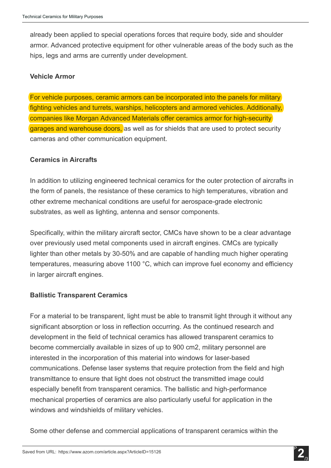already been applied to special operations forces that require body, side and shoulder armor. Advanced protective equipment for other vulnerable areas of the body such as the hips, legs and arms are currently under development.

#### Vehicle Armor

For vehicle purposes, ceramic armors can be incorporated into the panels for military fighting vehicles and turrets, warships, helicopters and armored vehicles. Additionally, companies like Morgan Advanced Materials offer ceramics armor for high-security garages and warehouse doors, as well as for shields that are used to protect security cameras and other communication equipment.

### Ceramics in Aircrafts

In addition to utilizing engineered technical ceramics for the outer protection of aircrafts in the form of panels, the resistance of these ceramics to high temperatures, vibration and other extreme mechanical conditions are useful for aerospace-grade electronic substrates, as well as lighting, antenna and sensor components.

Specifically, within the military aircraft sector, CMCs have shown to be a clear advantage over previously used metal components used in aircraft engines. CMCs are typically lighter than other metals by 30-50% and are capable of handling much higher operating temperatures, measuring above 1100 °C, which can improve fuel economy and efficiency in larger aircraft engines.

### Ballistic Transparent Ceramics

For a material to be transparent, light must be able to transmit light through it without any significant absorption or loss in reflection occurring. As the continued research and development in the field of technical ceramics has allowed transparent ceramics to become commercially available in sizes of up to 900 cm2, military personnel are interested in the incorporation of this material into windows for laser-based communications. Defense laser systems that require protection from the field and high transmittance to ensure that light does not obstruct the transmitted image could especially benefit from transparent ceramics. The ballistic and high-performance mechanical properties of ceramics are also particularly useful for application in the windows and windshields of military vehicles.

Some other defense and commercial applications of transparent ceramics within the